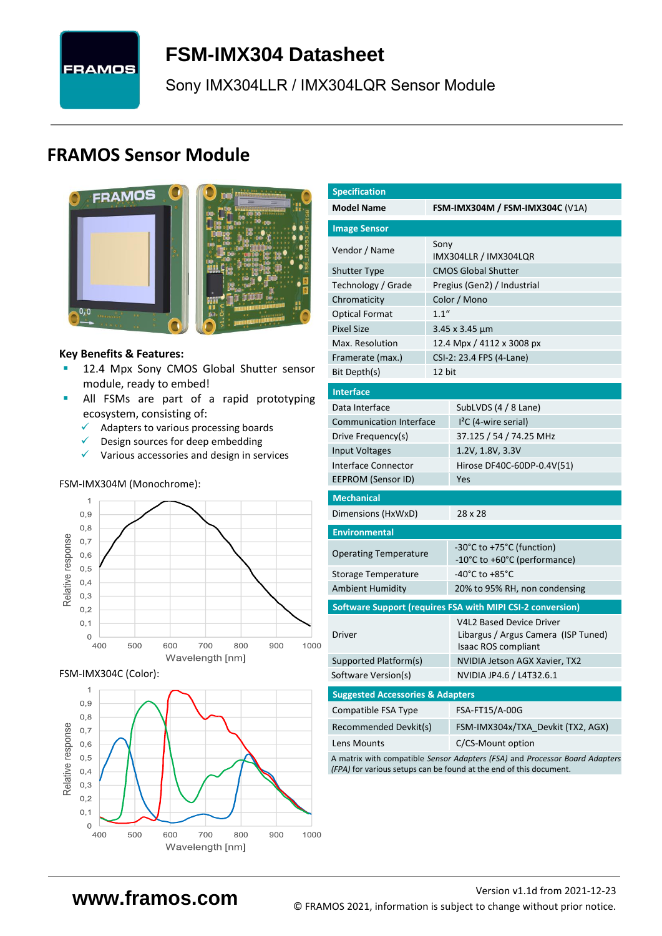# **FRAMOS**

## <span id="page-0-7"></span>**FSM-IMX304 [Datasheet](#page-0-0)**

<span id="page-0-3"></span>[Sony](#page-0-1) [IMX304LLR / IMX304LQR](#page-0-2) Sensor Module

## **FRAMOS Sensor Module**



#### **Key Benefits & Features:**

- [12.4](#page-0-4) Mpx [Sony](#page-0-1) [CMOS Global Shutter](#page-0-5) sensor module, ready to embed!
- **E** All FSMs are part of a rapid prototyping ecosystem, consisting of:
	- ✓ Adapters to various processing boards<br>✓ Design sources for deen embedding
	- Design sources for deep embedding
	- ✓ Various accessories and design in services

#### FSM-IMX304M (Monochrome):



FSM-IMX304C (Color):



<span id="page-0-6"></span><span id="page-0-5"></span><span id="page-0-4"></span><span id="page-0-2"></span><span id="page-0-1"></span><span id="page-0-0"></span>

| <b>Specification</b>                        |        |                                                                                               |  |  |  |  |
|---------------------------------------------|--------|-----------------------------------------------------------------------------------------------|--|--|--|--|
| <b>Model Name</b>                           |        | <b>FSM-IMX304M / FSM-IMX304C (V1A)</b>                                                        |  |  |  |  |
| <b>Image Sensor</b>                         |        |                                                                                               |  |  |  |  |
| Vendor / Name                               | Sony   | IMX304LLR / IMX304LQR                                                                         |  |  |  |  |
| <b>Shutter Type</b>                         |        | <b>CMOS Global Shutter</b>                                                                    |  |  |  |  |
| Technology / Grade                          |        | Pregius (Gen2) / Industrial                                                                   |  |  |  |  |
| Chromaticity                                |        | Color / Mono                                                                                  |  |  |  |  |
| <b>Optical Format</b>                       | 1.1''  |                                                                                               |  |  |  |  |
| <b>Pixel Size</b>                           |        | $3.45 \times 3.45 \mu m$                                                                      |  |  |  |  |
| Max. Resolution                             |        | 12.4 Mpx / 4112 x 3008 px                                                                     |  |  |  |  |
| Framerate (max.)                            |        | CSI-2: 23.4 FPS (4-Lane)                                                                      |  |  |  |  |
| Bit Depth(s)                                | 12 bit |                                                                                               |  |  |  |  |
| <b>Interface</b>                            |        |                                                                                               |  |  |  |  |
| Data Interface                              |        | SubLVDS (4 / 8 Lane)                                                                          |  |  |  |  |
| <b>Communication Interface</b>              |        | $l^2C$ (4-wire serial)                                                                        |  |  |  |  |
| Drive Frequency(s)                          |        | 37.125 / 54 / 74.25 MHz                                                                       |  |  |  |  |
| Input Voltages                              |        | 1.2V, 1.8V, 3.3V                                                                              |  |  |  |  |
| Interface Connector                         |        | Hirose DF40C-60DP-0.4V(51)                                                                    |  |  |  |  |
| EEPROM (Sensor ID)                          |        | Yes                                                                                           |  |  |  |  |
| <b>Mechanical</b>                           |        |                                                                                               |  |  |  |  |
| Dimensions (HxWxD)                          |        | 28 x 28                                                                                       |  |  |  |  |
| <b>Environmental</b>                        |        |                                                                                               |  |  |  |  |
| <b>Operating Temperature</b>                |        | -30°C to +75°C (function)<br>-10°C to +60°C (performance)                                     |  |  |  |  |
| Storage Temperature                         |        | -40°C to +85°C                                                                                |  |  |  |  |
| <b>Ambient Humidity</b>                     |        | 20% to 95% RH, non condensing                                                                 |  |  |  |  |
|                                             |        | Software Support (requires FSA with MIPI CSI-2 conversion)                                    |  |  |  |  |
| <b>Driver</b>                               |        | <b>V4L2 Based Device Driver</b><br>Libargus / Argus Camera (ISP Tuned)<br>Isaac ROS compliant |  |  |  |  |
| Supported Platform(s)                       |        | NVIDIA Jetson AGX Xavier, TX2                                                                 |  |  |  |  |
| Software Version(s)                         |        | NVIDIA JP4.6 / L4T32.6.1                                                                      |  |  |  |  |
| <b>Suggested Accessories &amp; Adapters</b> |        |                                                                                               |  |  |  |  |
| Compatible FSA Type                         |        | FSA-FT15/A-00G                                                                                |  |  |  |  |
| Recommended Devkit(s)                       |        | FSM-IMX304x/TXA_Devkit (TX2, AGX)                                                             |  |  |  |  |
| Lens Mounts                                 |        | C/CS-Mount option                                                                             |  |  |  |  |
|                                             |        |                                                                                               |  |  |  |  |

A matrix with compatible *Sensor Adapters (FSA)* and *Processor Board Adapters (FPA)* for various setups can be found at the end of this document.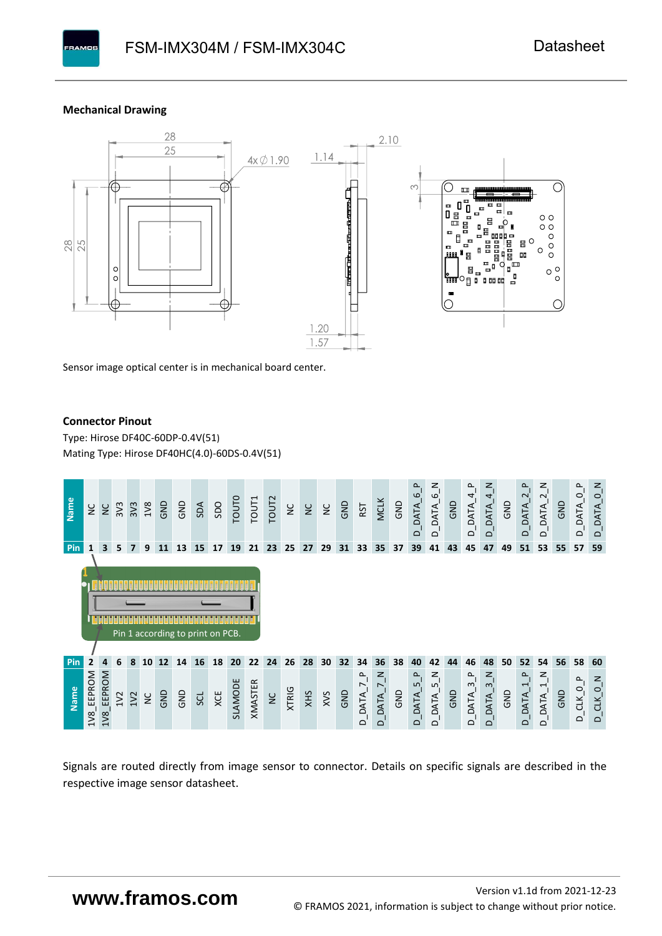#### **Mechanical Drawing**



Sensor image optical center is in mechanical board center.

#### **Connector Pinout**

Type: [Hirose DF40C-60DP-0.4V\(51](#page-0-6)[\)](#page-0-6)  Mating Type: Hirose DF40HC(4.0)-60DS-0.4V(51)



Signals are routed directly from image sensor to connector. Details on specific signals are described in the respective image sensor datasheet.

### **www.framos.com**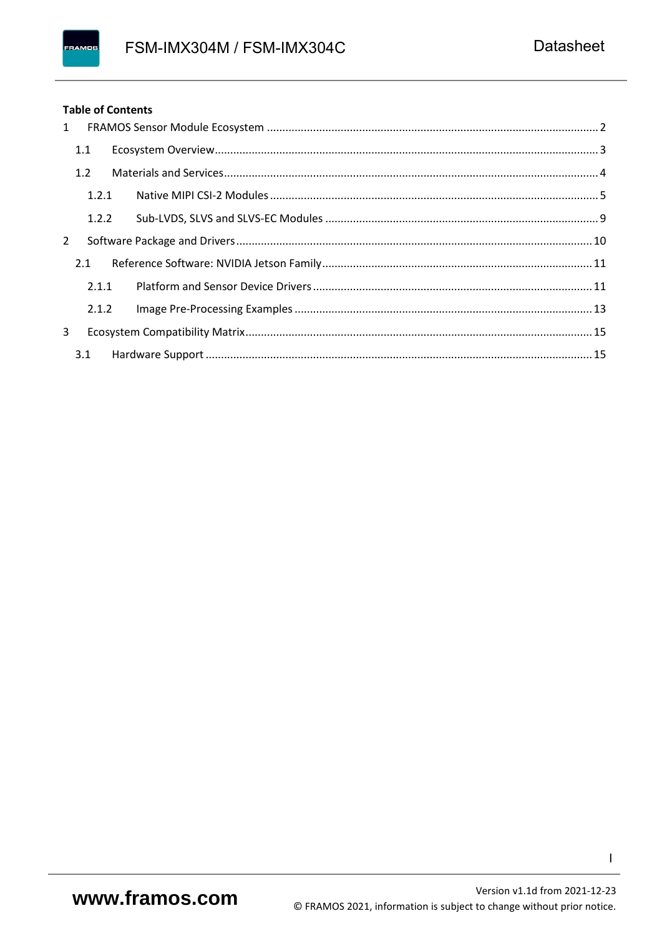#### FRAMOS

#### **Table of Contents**

| $\mathbf{1}$ |       |  |  |
|--------------|-------|--|--|
|              | 1.1   |  |  |
|              | 1.2   |  |  |
|              | 1.2.1 |  |  |
|              | 1.2.2 |  |  |
| 2            |       |  |  |
|              | 2.1   |  |  |
|              | 2.1.1 |  |  |
|              | 2.1.2 |  |  |
| $\mathbf{3}$ |       |  |  |
|              | 3.1   |  |  |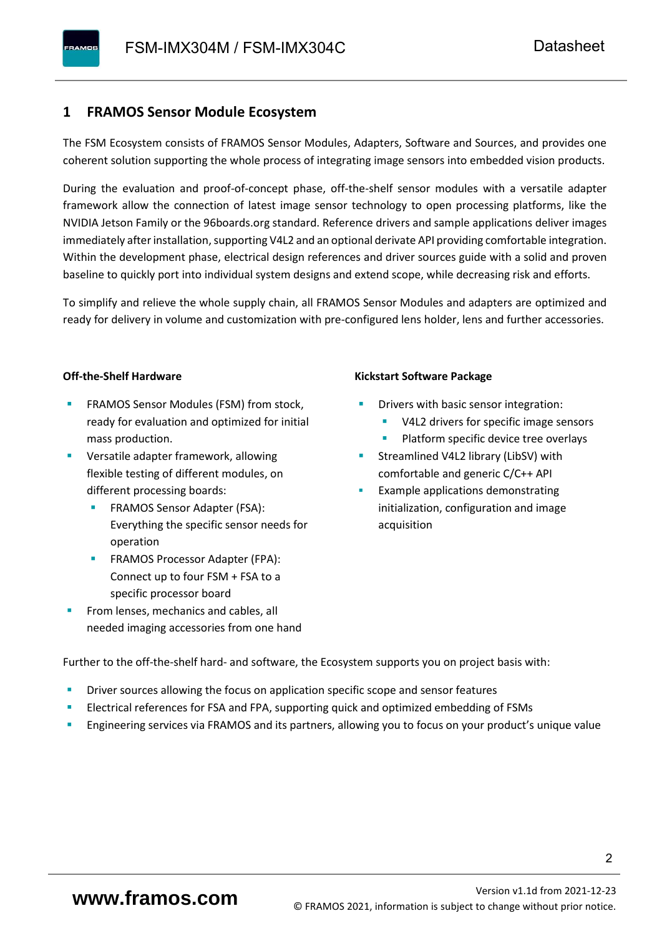#### <span id="page-3-0"></span>**1 FRAMOS Sensor Module Ecosystem**

The FSM Ecosystem consists of FRAMOS Sensor Modules, Adapters, Software and Sources, and provides one coherent solution supporting the whole process of integrating image sensors into embedded vision products.

During the evaluation and proof-of-concept phase, off-the-shelf sensor modules with a versatile adapter framework allow the connection of latest image sensor technology to open processing platforms, like the NVIDIA Jetson Family or the 96boards.org standard. Reference drivers and sample applications deliver images immediately after installation, supporting V4L2 and an optional derivate API providing comfortable integration. Within the development phase, electrical design references and driver sources guide with a solid and proven baseline to quickly port into individual system designs and extend scope, while decreasing risk and efforts.

To simplify and relieve the whole supply chain, all FRAMOS Sensor Modules and adapters are optimized and ready for delivery in volume and customization with pre-configured lens holder, lens and further accessories.

#### **Off-the-Shelf Hardware**

- FRAMOS Sensor Modules (FSM) from stock, ready for evaluation and optimized for initial mass production.
- Versatile adapter framework, allowing flexible testing of different modules, on different processing boards:
	- FRAMOS Sensor Adapter (FSA): Everything the specific sensor needs for operation
	- FRAMOS Processor Adapter (FPA): Connect up to four FSM + FSA to a specific processor board
- From lenses, mechanics and cables, all needed imaging accessories from one hand

#### **Kickstart Software Package**

- Drivers with basic sensor integration:
	- V4L2 drivers for specific image sensors
	- Platform specific device tree overlays
- Streamlined V4L2 library (LibSV) with comfortable and generic C/C++ API
- Example applications demonstrating initialization, configuration and image acquisition

Further to the off-the-shelf hard- and software, the Ecosystem supports you on project basis with:

- Driver sources allowing the focus on application specific scope and sensor features
- Electrical references for FSA and FPA, supporting quick and optimized embedding of FSMs
- Engineering services via FRAMOS and its partners, allowing you to focus on your product's unique value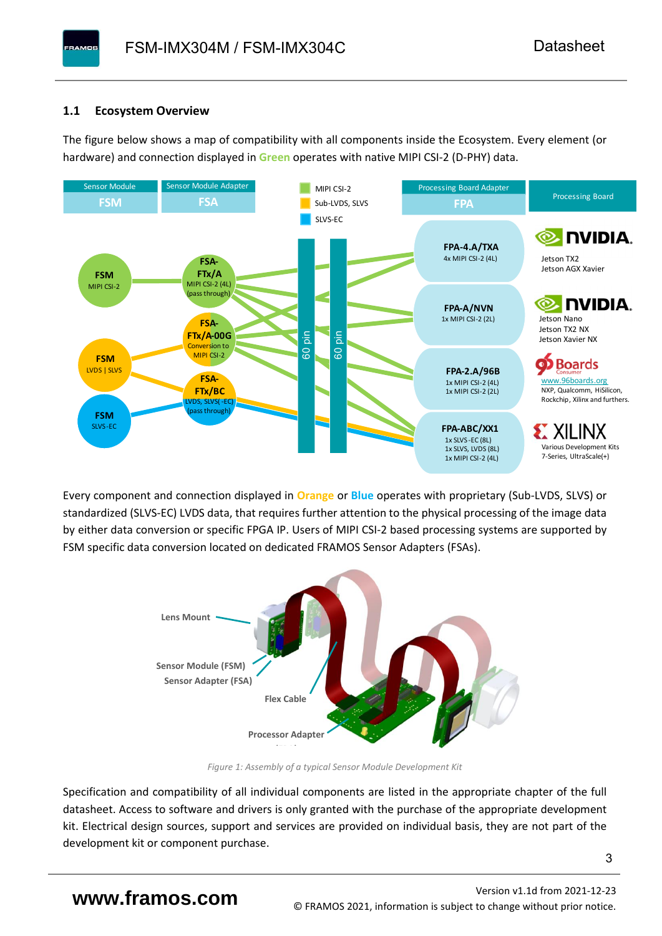#### <span id="page-4-0"></span>**1.1 Ecosystem Overview**

**PAMOS** 

The figure below shows a map of compatibility with all components inside the Ecosystem. Every element (or hardware) and connection displayed in **Green** operates with native MIPI CSI-2 (D-PHY) data.



Every component and connection displayed in **Orange** or **Blue** operates with proprietary (Sub-LVDS, SLVS) or standardized (SLVS-EC) LVDS data, that requires further attention to the physical processing of the image data by either data conversion or specific FPGA IP. Users of MIPI CSI-2 based processing systems are supported by FSM specific data conversion located on dedicated FRAMOS Sensor Adapters (FSAs).



*Figure 1: Assembly of a typical Sensor Module Development Kit*

Specification and compatibility of all individual components are listed in the appropriate chapter of the full datasheet. Access to software and drivers is only granted with the purchase of the appropriate development kit. Electrical design sources, support and services are provided on individual basis, they are not part of the development kit or component purchase.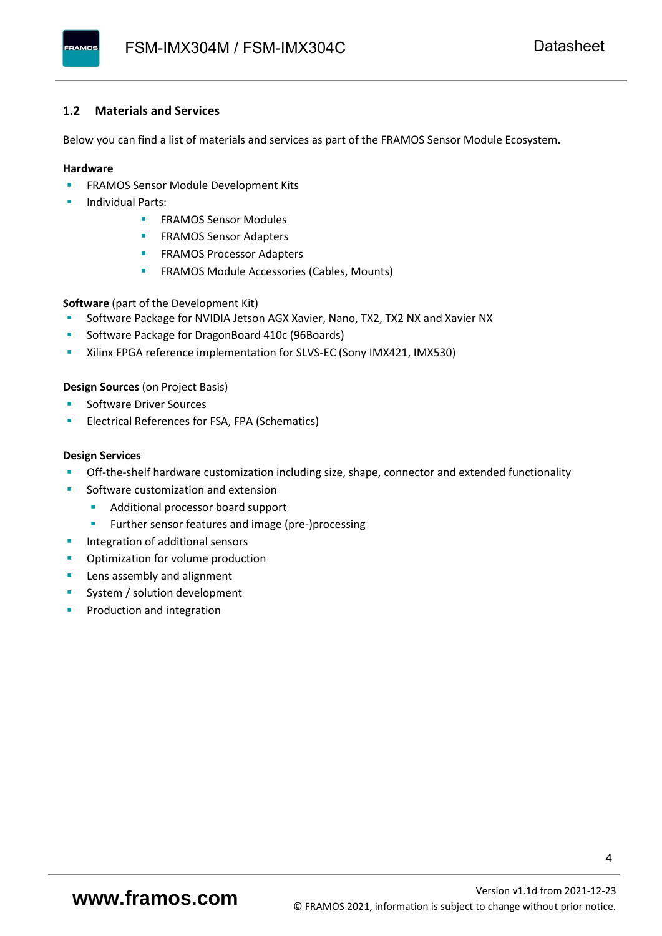#### <span id="page-5-0"></span>**1.2 Materials and Services**

Below you can find a list of materials and services as part of the FRAMOS Sensor Module Ecosystem.

#### **Hardware**

- **EXECTED FRAMOS Sensor Module Development Kits**
- **Individual Parts:** 
	- FRAMOS Sensor Modules
	- **FRAMOS Sensor Adapters**
	- **EXAMOS Processor Adapters**
	- **EXECTED** FRAMOS Module Accessories (Cables, Mounts)

**Software** (part of the Development Kit)

- Software Package for NVIDIA Jetson AGX Xavier, Nano, TX2, TX2 NX and Xavier NX
- Software Package for DragonBoard 410c (96Boards)
- **E** Xilinx FPGA reference implementation for SLVS-EC (Sony IMX421, IMX530)

#### **Design Sources** (on Project Basis)

- Software Driver Sources
- Electrical References for FSA, FPA (Schematics)

#### **Design Services**

- Off-the-shelf hardware customization including size, shape, connector and extended functionality
- Software customization and extension
	- Additional processor board support
	- Further sensor features and image (pre-)processing
- **■** Integration of additional sensors
- Optimization for volume production
- Lens assembly and alignment
- System / solution development
- Production and integration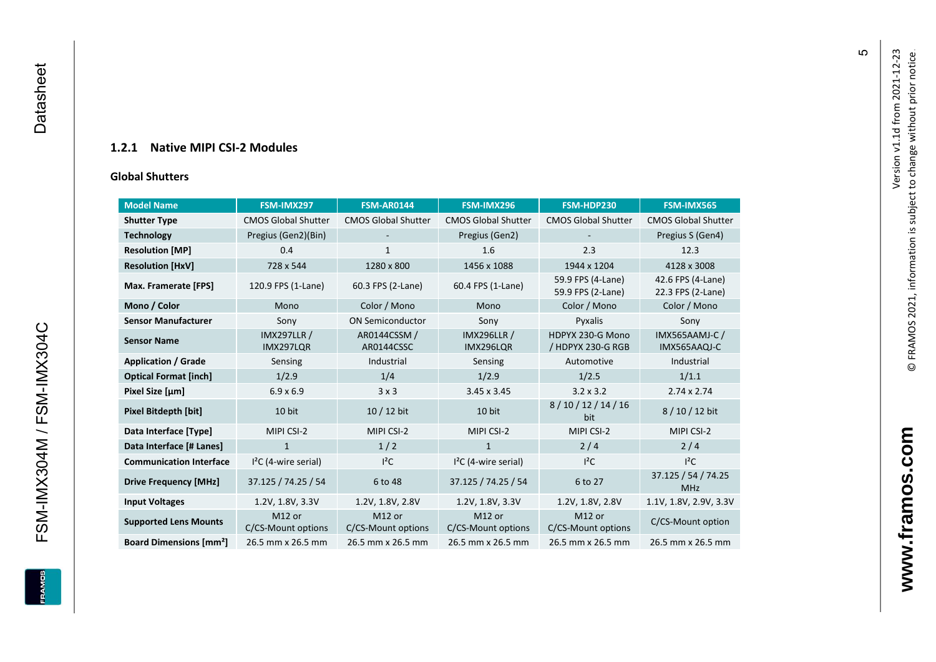#### **1.2.1 Native MIPI CSI - 2 Modules**

#### **[Global Shu](#page-0-7)tters**

<span id="page-6-0"></span>

| <b>Model Name</b>                        | FSM-IMX297                      | <b>FSM-AR0144</b>            | FSM-IMX296                      | FSM-HDP230                             | FSM-IMX565                             |
|------------------------------------------|---------------------------------|------------------------------|---------------------------------|----------------------------------------|----------------------------------------|
| <b>Shutter Type</b>                      | <b>CMOS Global Shutter</b>      | <b>CMOS Global Shutter</b>   | <b>CMOS Global Shutter</b>      | <b>CMOS Global Shutter</b>             | <b>CMOS Global Shutter</b>             |
| <b>Technology</b>                        | Pregius (Gen2)(Bin)             |                              | Pregius (Gen2)                  |                                        | Pregius S (Gen4)                       |
| <b>Resolution [MP]</b>                   | 0.4                             | $\mathbf{1}$                 | 1.6                             | 2.3                                    | 12.3                                   |
| <b>Resolution [HxV]</b>                  | 728 x 544                       | 1280 x 800                   | 1456 x 1088                     | 1944 x 1204                            | 4128 x 3008                            |
| Max. Framerate [FPS]                     | 120.9 FPS (1-Lane)              | 60.3 FPS (2-Lane)            | 60.4 FPS (1-Lane)               | 59.9 FPS (4-Lane)<br>59.9 FPS (2-Lane) | 42.6 FPS (4-Lane)<br>22.3 FPS (2-Lane) |
| Mono / Color                             | Mono                            | Color / Mono                 | Mono                            | Color / Mono                           | Color / Mono                           |
| <b>Sensor Manufacturer</b>               | Sony                            | <b>ON Semiconductor</b>      | Sony                            | Pyxalis                                | Sony                                   |
| <b>Sensor Name</b>                       | <b>IMX297LLR /</b><br>IMX297LQR | AR0144CSSM /<br>AR0144CSSC   | <b>IMX296LLR /</b><br>IMX296LQR | HDPYX 230-G Mono<br>/ HDPYX 230-G RGB  | <b>IMX565AAMJ-C/</b><br>IMX565AAQJ-C   |
| <b>Application / Grade</b>               | Sensing                         | Industrial                   | Sensing                         | Automotive                             | Industrial                             |
| <b>Optical Format [inch]</b>             | 1/2.9                           | 1/4                          | 1/2.9                           | 1/2.5                                  | 1/1.1                                  |
| Pixel Size [µm]                          | $6.9 \times 6.9$                | 3x3                          | $3.45 \times 3.45$              | $3.2 \times 3.2$                       | $2.74 \times 2.74$                     |
| <b>Pixel Bitdepth [bit]</b>              | 10 bit                          | $10/12$ bit                  | 10 bit                          | 8/10/12/14/16<br>bit                   | 8/10/12 bit                            |
| Data Interface [Type]                    | MIPI CSI-2                      | MIPI CSI-2                   | MIPI CSI-2                      | MIPI CSI-2                             | MIPI CSI-2                             |
| Data Interface [# Lanes]                 | $\mathbf{1}$                    | 1/2                          | $\mathbf{1}$                    | 2/4                                    | 2/4                                    |
| <b>Communication Interface</b>           | $I2C$ (4-wire serial)           | $I^2C$                       | $I2C$ (4-wire serial)           | $l^2C$                                 | $I^2C$                                 |
| <b>Drive Frequency [MHz]</b>             | 37.125 / 74.25 / 54             | 6 to 48                      | 37.125 / 74.25 / 54             | 6 to 27                                | 37.125 / 54 / 74.25<br><b>MHz</b>      |
| <b>Input Voltages</b>                    | 1.2V, 1.8V, 3.3V                | 1.2V, 1.8V, 2.8V             | 1.2V, 1.8V, 3.3V                | 1.2V, 1.8V, 2.8V                       | 1.1V, 1.8V, 2.9V, 3.3V                 |
| <b>Supported Lens Mounts</b>             | M12 or<br>C/CS-Mount options    | M12 or<br>C/CS-Mount options | M12 or<br>C/CS-Mount options    | M12 or<br>C/CS-Mount options           | C/CS-Mount option                      |
| <b>Board Dimensions [mm<sup>2</sup>]</b> | 26.5 mm x 26.5 mm               | 26.5 mm x 26.5 mm            | 26.5 mm x 26.5 mm               | 26.5 mm x 26.5 mm                      | 26.5 mm x 26.5 mm                      |

Version v1.1d from 2021-12-23

Version v1.1d from 2021-12-23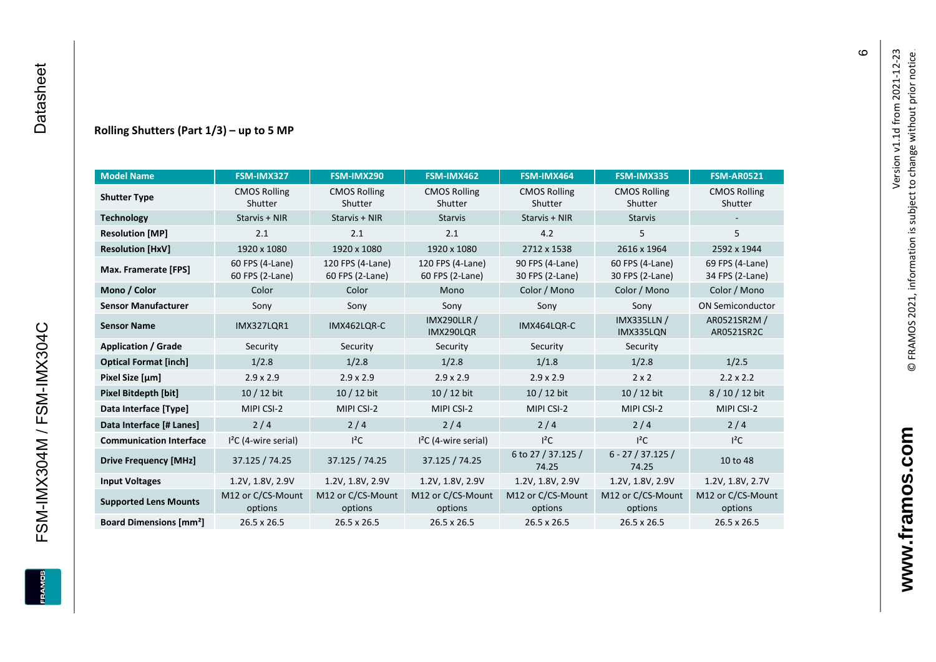#### **Rolling Shutters (Part 1/ 3 ) – up to 5 MP**

| <b>Model Name</b>                        | FSM-IMX327                         | FSM-IMX290                          | FSM-IMX462                                     | FSM-IMX464                         | FSM-IMX335                         | <b>FSM-AR0521</b>                  |
|------------------------------------------|------------------------------------|-------------------------------------|------------------------------------------------|------------------------------------|------------------------------------|------------------------------------|
| <b>Shutter Type</b>                      | <b>CMOS Rolling</b><br>Shutter     | <b>CMOS Rolling</b><br>Shutter      | <b>CMOS Rolling</b><br>Shutter                 | <b>CMOS Rolling</b><br>Shutter     |                                    | <b>CMOS Rolling</b><br>Shutter     |
| <b>Technology</b>                        | Starvis + NIR                      | Starvis + NIR                       | <b>Starvis</b>                                 | Starvis + NIR                      | <b>Starvis</b>                     |                                    |
| <b>Resolution [MP]</b>                   | 2.1                                | 2.1                                 | 2.1                                            | 4.2                                | 5                                  | 5                                  |
| <b>Resolution [HxV]</b>                  | 1920 x 1080                        | 1920 x 1080                         | 1920 x 1080                                    | 2712 x 1538                        | 2616 x 1964                        | 2592 x 1944                        |
| Max. Framerate [FPS]                     | 60 FPS (4-Lane)<br>60 FPS (2-Lane) | 120 FPS (4-Lane)<br>60 FPS (2-Lane) | 120 FPS (4-Lane)<br>60 FPS (2-Lane)            | 90 FPS (4-Lane)<br>30 FPS (2-Lane) | 60 FPS (4-Lane)<br>30 FPS (2-Lane) | 69 FPS (4-Lane)<br>34 FPS (2-Lane) |
| Mono / Color                             | Color                              | Color                               | Mono                                           | Color / Mono                       | Color / Mono                       | Color / Mono                       |
| <b>Sensor Manufacturer</b>               | Sony                               | Sony                                | Sony                                           | Sony                               | Sony                               | <b>ON Semiconductor</b>            |
| <b>Sensor Name</b>                       | <b>IMX327LOR1</b>                  | IMX462LQR-C                         | <b>IMX290LLR /</b><br>IMX464LQR-C<br>IMX290LQR |                                    | <b>IMX335LLN /</b><br>IMX335LQN    | AR0521SR2M /<br>AR0521SR2C         |
| <b>Application / Grade</b>               | Security                           | Security                            | Security                                       | Security                           | Security                           |                                    |
| <b>Optical Format [inch]</b>             | 1/2.8                              | 1/2.8                               | 1/2.8<br>1/1.8                                 |                                    | 1/2.8                              | 1/2.5                              |
| Pixel Size [µm]                          | $2.9 \times 2.9$                   | $2.9 \times 2.9$                    | $2.9 \times 2.9$                               | $2.9 \times 2.9$                   | $2 \times 2$                       | $2.2 \times 2.2$                   |
| <b>Pixel Bitdepth [bit]</b>              | 10 / 12 bit                        | 10 / 12 bit                         | 10 / 12 bit                                    | 10 / 12 bit                        | 10 / 12 bit                        | 8/10/12 bit                        |
| Data Interface [Type]                    | MIPI CSI-2                         | MIPI CSI-2                          | MIPI CSI-2                                     | MIPI CSI-2                         | MIPI CSI-2                         | MIPI CSI-2                         |
| Data Interface [# Lanes]                 | 2/4                                | 2/4                                 | 2/4                                            | 2/4                                | 2/4                                | 2/4                                |
| <b>Communication Interface</b>           | $I2C$ (4-wire serial)              | $l^2C$                              | $12C$ (4-wire serial)                          | $I^2C$                             | $I^2C$                             | $l^2C$                             |
| <b>Drive Frequency [MHz]</b>             | 37.125 / 74.25                     | 37.125 / 74.25                      | 37.125 / 74.25                                 | 6 to 27 / 37.125 /<br>74.25        | $6 - 27 / 37.125 /$<br>74.25       | 10 to 48                           |
| <b>Input Voltages</b>                    | 1.2V, 1.8V, 2.9V                   | 1.2V, 1.8V, 2.9V                    | 1.2V, 1.8V, 2.9V                               | 1.2V, 1.8V, 2.9V                   | 1.2V, 1.8V, 2.9V                   | 1.2V, 1.8V, 2.7V                   |
| <b>Supported Lens Mounts</b>             | M12 or C/CS-Mount<br>options       | M12 or C/CS-Mount<br>options        | M12 or C/CS-Mount<br>options                   | M12 or C/CS-Mount<br>options       | M12 or C/CS-Mount<br>options       | M12 or C/CS-Mount<br>options       |
| <b>Board Dimensions [mm<sup>2</sup>]</b> | $26.5 \times 26.5$                 | 26.5 x 26.5                         | 26.5 x 26.5                                    | $26.5 \times 26.5$                 | 26.5 x 26.5                        | 26.5 x 26.5                        |

FSM-IMX304M / FSM-IMX304C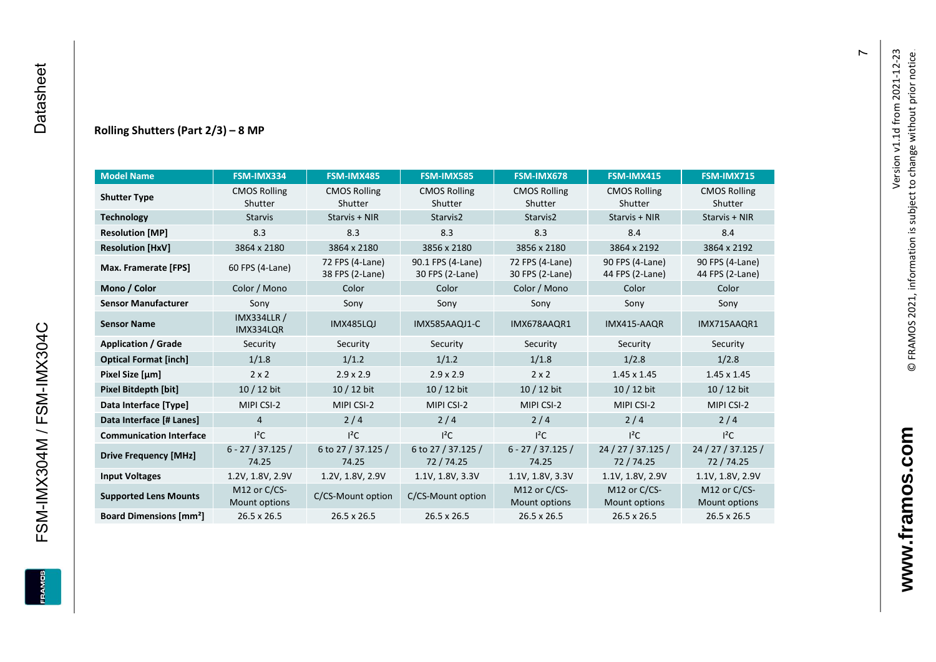#### **Rolling Shutters (Part 2/ 3 ) – 8 MP**

| <b>Model Name</b>                                     | FSM-IMX334                     | FSM-IMX485                         | <b>FSM-IMX585</b>                    | FSM-IMX678                         | FSM-IMX415                         | <b>FSM-IMX715</b>                  |
|-------------------------------------------------------|--------------------------------|------------------------------------|--------------------------------------|------------------------------------|------------------------------------|------------------------------------|
|                                                       |                                |                                    |                                      |                                    |                                    |                                    |
| <b>Shutter Type</b>                                   | <b>CMOS Rolling</b><br>Shutter | <b>CMOS Rolling</b><br>Shutter     | <b>CMOS Rolling</b><br>Shutter       | <b>CMOS Rolling</b><br>Shutter     | <b>CMOS Rolling</b><br>Shutter     | <b>CMOS Rolling</b><br>Shutter     |
| <b>Technology</b>                                     | <b>Starvis</b>                 | Starvis + NIR                      | Starvis2                             | Starvis2                           | Starvis + NIR                      | Starvis + NIR                      |
|                                                       |                                |                                    |                                      |                                    |                                    |                                    |
| <b>Resolution [MP]</b>                                | 8.3                            | 8.3                                | 8.3                                  | 8.3                                | 8.4                                | 8.4                                |
| <b>Resolution [HxV]</b>                               | 3864 x 2180                    | 3864 x 2180                        | 3856 x 2180                          | 3856 x 2180                        | 3864 x 2192                        | 3864 x 2192                        |
| Max. Framerate [FPS]                                  | 60 FPS (4-Lane)                | 72 FPS (4-Lane)<br>38 FPS (2-Lane) | 90.1 FPS (4-Lane)<br>30 FPS (2-Lane) | 72 FPS (4-Lane)<br>30 FPS (2-Lane) | 90 FPS (4-Lane)<br>44 FPS (2-Lane) | 90 FPS (4-Lane)<br>44 FPS (2-Lane) |
| Mono / Color                                          | Color / Mono                   | Color                              | Color                                | Color / Mono                       | Color                              | Color                              |
| <b>Sensor Manufacturer</b>                            | Sony                           | Sony                               | Sony                                 | Sony                               | Sony                               | Sony                               |
| <b>IMX334LLR /</b><br><b>Sensor Name</b><br>IMX334LQR |                                | <b>IMX485LQJ</b>                   | IMX585AAQJ1-C                        | IMX678AAQR1                        | IMX415-AAQR                        | IMX715AAQR1                        |
| <b>Application / Grade</b>                            | Security                       | Security                           | Security<br>Security                 |                                    | Security                           | Security                           |
| <b>Optical Format [inch]</b>                          | 1/1.8                          | 1/1.2                              | 1/1.2<br>1/1.8                       |                                    | 1/2.8                              | 1/2.8                              |
| Pixel Size [µm]                                       | $2 \times 2$                   | $2.9 \times 2.9$                   | $2.9 \times 2.9$                     | $2 \times 2$                       | $1.45 \times 1.45$                 | 1.45 x 1.45                        |
| <b>Pixel Bitdepth [bit]</b>                           | $10/12$ bit                    | $10/12$ bit                        | $10/12$ bit                          | $10/12$ bit                        | $10/12$ bit                        | 10 / 12 bit                        |
| Data Interface [Type]                                 | MIPI CSI-2                     | MIPI CSI-2                         | MIPI CSI-2                           | MIPI CSI-2                         | MIPI CSI-2                         | MIPI CSI-2                         |
| Data Interface [# Lanes]                              | $\overline{4}$                 | 2/4                                | 2/4                                  | 2/4                                | 2/4                                | 2/4                                |
| <b>Communication Interface</b>                        | $l^2C$                         | $I^2C$                             | $l^2C$                               | $I^2C$                             | $l^2C$                             | $I^2C$                             |
| <b>Drive Frequency [MHz]</b>                          | $6 - 27 / 37.125 /$<br>74.25   | 6 to 27 / 37.125 /<br>74.25        | 6 to 27 / 37.125 /<br>72 / 74.25     | $6 - 27 / 37.125 /$<br>74.25       | 24 / 27 / 37.125 /<br>72/74.25     | 24 / 27 / 37.125 /<br>72 / 74.25   |
| <b>Input Voltages</b>                                 | 1.2V, 1.8V, 2.9V               | 1.2V, 1.8V, 2.9V                   | 1.1V, 1.8V, 3.3V                     | 1.1V, 1.8V, 3.3V                   | 1.1V, 1.8V, 2.9V                   | 1.1V, 1.8V, 2.9V                   |
| <b>Supported Lens Mounts</b>                          | M12 or C/CS-<br>Mount options  | C/CS-Mount option                  | C/CS-Mount option                    | M12 or $C/CS$ -<br>Mount options   | M12 or C/CS-<br>Mount options      | M12 or C/CS-<br>Mount options      |
| <b>Board Dimensions [mm<sup>2</sup>]</b>              | 26.5 x 26.5                    | 26.5 x 26.5                        | 26.5 x 26.5                          | 26.5 x 26.5                        | 26.5 x 26.5                        | $26.5 \times 26.5$                 |

FSM-IMX304M / FSM-IMX304C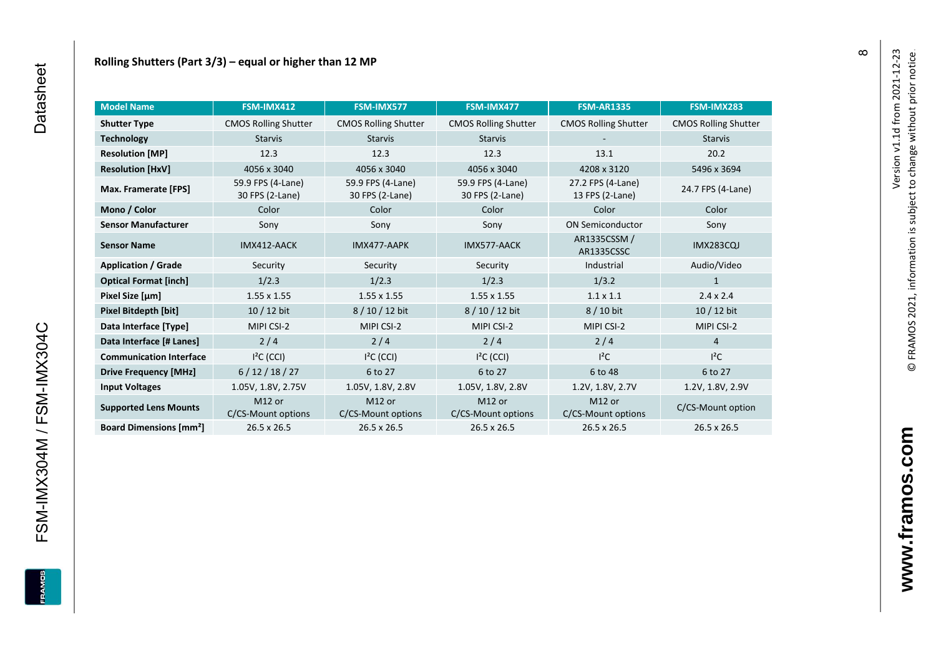| <b>Model Name</b>                        | FSM-IMX412                               | <b>FSM-IMX577</b>                        | FSM-IMX477                               | <b>FSM-AR1335</b>                    | FSM-IMX283                  |
|------------------------------------------|------------------------------------------|------------------------------------------|------------------------------------------|--------------------------------------|-----------------------------|
| <b>Shutter Type</b>                      | <b>CMOS Rolling Shutter</b>              | <b>CMOS Rolling Shutter</b>              | <b>CMOS Rolling Shutter</b>              | <b>CMOS Rolling Shutter</b>          | <b>CMOS Rolling Shutter</b> |
| <b>Technology</b>                        | <b>Starvis</b><br><b>Starvis</b>         |                                          | <b>Starvis</b>                           |                                      | <b>Starvis</b>              |
| <b>Resolution [MP]</b>                   | 12.3                                     | 12.3                                     | 12.3                                     | 13.1                                 | 20.2                        |
| <b>Resolution [HxV]</b>                  | 4056 x 3040                              | 4056 x 3040                              | 4056 x 3040                              | 4208 x 3120                          | 5496 x 3694                 |
| Max. Framerate [FPS]                     | 59.9 FPS (4-Lane)<br>30 FPS (2-Lane)     | 59.9 FPS (4-Lane)<br>30 FPS (2-Lane)     | 59.9 FPS (4-Lane)<br>30 FPS (2-Lane)     | 27.2 FPS (4-Lane)<br>13 FPS (2-Lane) | 24.7 FPS (4-Lane)           |
| Mono / Color                             | Color                                    | Color                                    | Color                                    | Color                                | Color                       |
| <b>Sensor Manufacturer</b>               | Sony                                     | Sony                                     | Sony                                     | <b>ON Semiconductor</b>              | Sony                        |
| <b>Sensor Name</b>                       | IMX412-AACK                              | IMX477-AAPK                              | IMX577-AACK                              | AR1335CSSM /<br>AR1335CSSC           | <b>IMX283CQJ</b>            |
| <b>Application / Grade</b>               | Security                                 | Security                                 | Security                                 | Industrial                           | Audio/Video                 |
| <b>Optical Format [inch]</b>             | 1/2.3                                    | 1/2.3                                    | 1/2.3                                    | 1/3.2                                | 1                           |
| Pixel Size [µm]                          | 1.55 x 1.55                              | $1.55 \times 1.55$                       | $1.55 \times 1.55$                       | $1.1 \times 1.1$                     | $2.4 \times 2.4$            |
| <b>Pixel Bitdepth [bit]</b>              | $10/12$ bit                              | 8 / 10 / 12 bit                          | 8 / 10 / 12 bit                          | 8 / 10 bit                           | $10/12$ bit                 |
| Data Interface [Type]                    | MIPI CSI-2                               | MIPI CSI-2                               | MIPI CSI-2                               | MIPI CSI-2                           | MIPI CSI-2                  |
| Data Interface [# Lanes]                 | $2/4$                                    | 2/4                                      | 2/4                                      | 2/4                                  | $\overline{4}$              |
| <b>Communication Interface</b>           | $I2C$ (CCI)                              | $I2C$ (CCI)                              | $I2C$ (CCI)                              | $l^2C$                               | $I^2C$                      |
| <b>Drive Frequency [MHz]</b>             | 6/12/18/27                               | 6 to 27                                  | 6 to 27                                  | 6 to 48                              | 6 to 27                     |
| <b>Input Voltages</b>                    | 1.05V, 1.8V, 2.75V                       | 1.05V, 1.8V, 2.8V                        | 1.05V, 1.8V, 2.8V                        | 1.2V, 1.8V, 2.7V                     | 1.2V, 1.8V, 2.9V            |
| <b>Supported Lens Mounts</b>             | M <sub>12</sub> or<br>C/CS-Mount options | M <sub>12</sub> or<br>C/CS-Mount options | M <sub>12</sub> or<br>C/CS-Mount options | M12 or<br>C/CS-Mount options         | C/CS-Mount option           |
| <b>Board Dimensions [mm<sup>2</sup>]</b> | $26.5 \times 26.5$                       | $26.5 \times 26.5$                       | $26.5 \times 26.5$                       | 26.5 x 26.5                          | 26.5 x 26.5                 |

FSM-IMX304M / FSM-IMX304C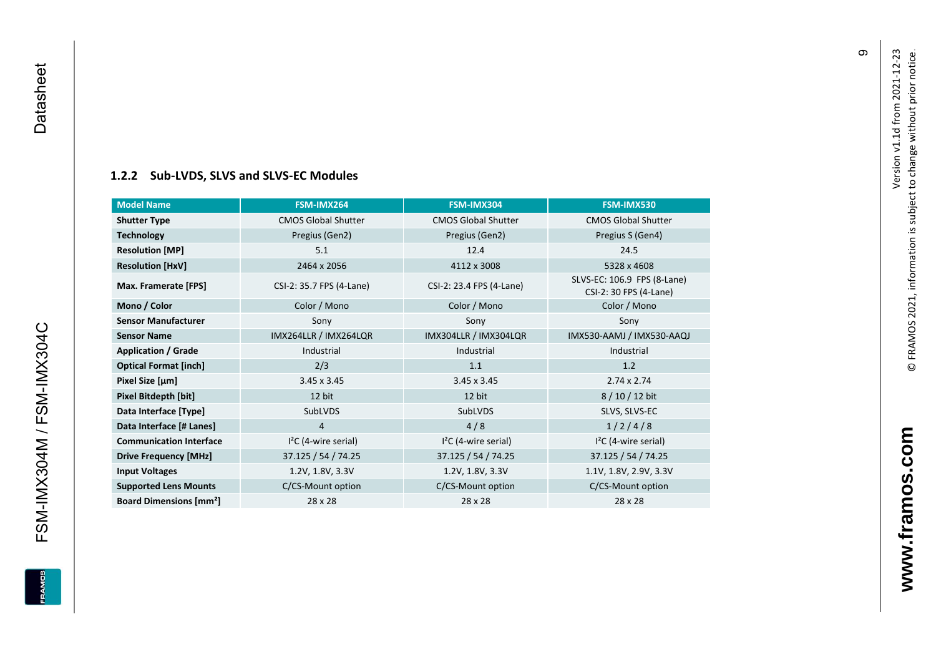FSM-IMX304M / FSM-IMX304C Datasheet

<span id="page-10-0"></span>FSM-IMX304M / FSM-IMX304C

**EDIVARE** 

Datasheet

#### **[1.2.2](#page-0-7) Sub -LVDS, SLVS and SLVS -EC Modules**

| <b>Model Name</b>                        | FSM-IMX264                 | FSM-IMX304                 | FSM-IMX530                                            |
|------------------------------------------|----------------------------|----------------------------|-------------------------------------------------------|
| <b>Shutter Type</b>                      | <b>CMOS Global Shutter</b> | <b>CMOS Global Shutter</b> | <b>CMOS Global Shutter</b>                            |
| <b>Technology</b>                        | Pregius (Gen2)             | Pregius (Gen2)             | Pregius S (Gen4)                                      |
| <b>Resolution [MP]</b>                   | 5.1                        | 12.4                       | 24.5                                                  |
| <b>Resolution [HxV]</b>                  | 2464 x 2056                | 4112 x 3008                | 5328 x 4608                                           |
| Max. Framerate [FPS]                     | CSI-2: 35.7 FPS (4-Lane)   | CSI-2: 23.4 FPS (4-Lane)   | SLVS-EC: 106.9 FPS (8-Lane)<br>CSI-2: 30 FPS (4-Lane) |
| Mono / Color                             | Color / Mono               | Color / Mono               | Color / Mono                                          |
| <b>Sensor Manufacturer</b>               | Sony                       | Sony                       | Sony                                                  |
| <b>Sensor Name</b>                       | IMX264LLR / IMX264LQR      | IMX304LLR / IMX304LQR      | IMX530-AAMJ / IMX530-AAQJ                             |
| <b>Application / Grade</b>               | Industrial                 | Industrial                 | Industrial                                            |
| <b>Optical Format [inch]</b>             | 2/3                        | 1.1                        | 1.2                                                   |
| Pixel Size [µm]                          | $3.45 \times 3.45$         | $3.45 \times 3.45$         | $2.74 \times 2.74$                                    |
| Pixel Bitdepth [bit]                     | 12 bit                     | 12 bit                     | 8 / 10 / 12 bit                                       |
| Data Interface [Type]                    | SubLVDS                    | SubLVDS                    | SLVS, SLVS-EC                                         |
| Data Interface [# Lanes]                 | 4                          | 4/8                        | 1/2/4/8                                               |
| <b>Communication Interface</b>           | $I2C$ (4-wire serial)      | $I2C$ (4-wire serial)      | $I2C$ (4-wire serial)                                 |
| <b>Drive Frequency [MHz]</b>             | 37.125 / 54 / 74.25        | 37.125 / 54 / 74.25        | 37.125 / 54 / 74.25                                   |
| <b>Input Voltages</b>                    | 1.2V, 1.8V, 3.3V           | 1.2V, 1.8V, 3.3V           | 1.1V, 1.8V, 2.9V, 3.3V                                |
| <b>Supported Lens Mounts</b>             | C/CS-Mount option          | C/CS-Mount option          | C/CS-Mount option                                     |
| <b>Board Dimensions [mm<sup>2</sup>]</b> | $28 \times 28$             | 28 x 28                    | 28 x 28                                               |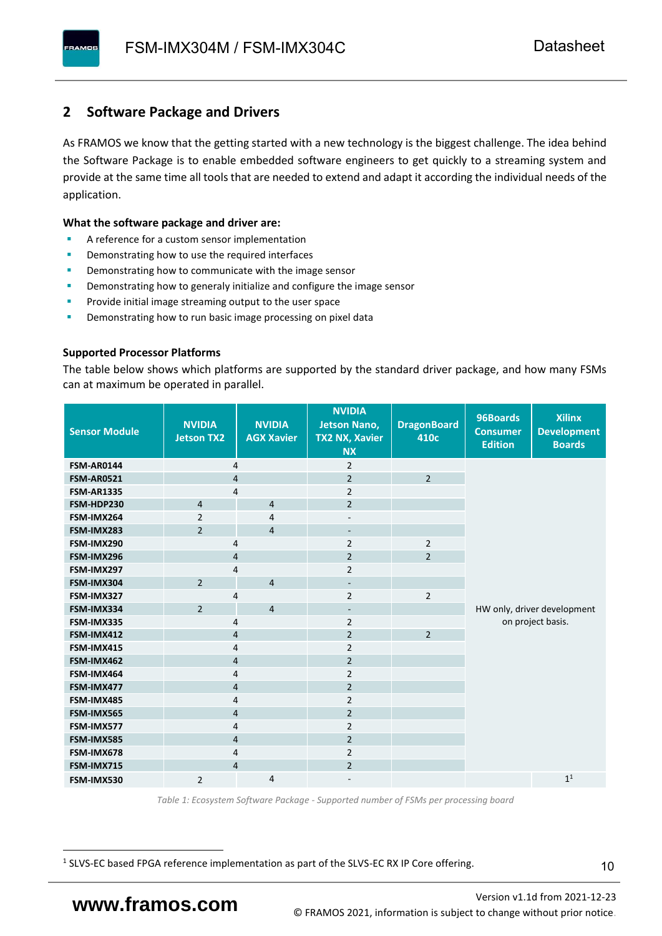### <span id="page-11-0"></span>**2 Software Package and Drivers**

As FRAMOS we know that the getting started with a new technology is the biggest challenge. The idea behind the Software Package is to enable embedded software engineers to get quickly to a streaming system and provide at the same time all tools that are needed to extend and adapt it according the individual needs of the application.

#### **What the software package and driver are:**

- A reference for a custom sensor implementation
- Demonstrating how to use the required interfaces
- Demonstrating how to communicate with the image sensor
- Demonstrating how to generaly initialize and configure the image sensor
- Provide initial image streaming output to the user space
- Demonstrating how to run basic image processing on pixel data

#### **Supported Processor Platforms**

The table below shows which platforms are supported by the standard driver package, and how many FSMs can at maximum be operated in parallel.

| <b>Sensor Module</b> | <b>NVIDIA</b><br><b>Jetson TX2</b> | <b>NVIDIA</b><br><b>AGX Xavier</b> | <b>NVIDIA</b><br><b>Jetson Nano,</b><br><b>TX2 NX, Xavier</b><br><b>NX</b> | <b>DragonBoard</b><br>410c | 96Boards<br><b>Consumer</b><br><b>Edition</b> | <b>Xilinx</b><br><b>Development</b><br><b>Boards</b> |  |
|----------------------|------------------------------------|------------------------------------|----------------------------------------------------------------------------|----------------------------|-----------------------------------------------|------------------------------------------------------|--|
| <b>FSM-AR0144</b>    | 4                                  |                                    | $\overline{2}$                                                             |                            |                                               |                                                      |  |
| <b>FSM-AR0521</b>    | $\overline{4}$                     |                                    | $\overline{2}$                                                             | $\overline{2}$             |                                               |                                                      |  |
| <b>FSM-AR1335</b>    | 4                                  |                                    | $\overline{2}$                                                             |                            |                                               |                                                      |  |
| FSM-HDP230           | $\overline{4}$                     | $\overline{4}$                     | $\overline{2}$                                                             |                            |                                               |                                                      |  |
| FSM-IMX264           | $\overline{2}$                     | $\overline{4}$                     | $\overline{\phantom{a}}$                                                   |                            |                                               |                                                      |  |
| FSM-IMX283           | $\overline{2}$                     | $\overline{4}$                     | $\overline{\phantom{a}}$                                                   |                            |                                               |                                                      |  |
| FSM-IMX290           | 4                                  |                                    | $\overline{2}$                                                             | $\overline{2}$             |                                               |                                                      |  |
| FSM-IMX296           | 4                                  |                                    | $\overline{2}$                                                             | $\overline{2}$             |                                               |                                                      |  |
| FSM-IMX297           | 4                                  |                                    | $\overline{2}$                                                             |                            |                                               |                                                      |  |
| FSM-IMX304           | $\overline{2}$                     | $\overline{4}$                     | $\overline{\phantom{a}}$                                                   |                            |                                               |                                                      |  |
| FSM-IMX327           | 4                                  |                                    | $\overline{2}$                                                             | $\overline{2}$             |                                               |                                                      |  |
| FSM-IMX334           | $\overline{2}$                     | $\overline{4}$                     | $\overline{\phantom{a}}$                                                   |                            | HW only, driver development                   |                                                      |  |
| FSM-IMX335           | 4                                  |                                    | $\overline{2}$                                                             |                            | on project basis.                             |                                                      |  |
| FSM-IMX412           | $\overline{4}$                     |                                    | $\overline{2}$                                                             | $\overline{2}$             |                                               |                                                      |  |
| FSM-IMX415           | 4                                  |                                    | $\overline{2}$                                                             |                            |                                               |                                                      |  |
| FSM-IMX462           | $\overline{\mathbf{4}}$            |                                    | $\overline{2}$                                                             |                            |                                               |                                                      |  |
| FSM-IMX464           | $\overline{4}$                     |                                    | $\overline{2}$                                                             |                            |                                               |                                                      |  |
| FSM-IMX477           | $\overline{4}$                     |                                    | $\overline{2}$                                                             |                            |                                               |                                                      |  |
| FSM-IMX485           | $\overline{4}$                     |                                    | $\overline{2}$                                                             |                            |                                               |                                                      |  |
| FSM-IMX565           | $\overline{4}$                     |                                    | $\overline{2}$                                                             |                            |                                               |                                                      |  |
| FSM-IMX577           | $\overline{4}$                     |                                    | $\overline{2}$                                                             |                            |                                               |                                                      |  |
| FSM-IMX585           | $\overline{4}$                     |                                    | $\overline{2}$                                                             |                            |                                               |                                                      |  |
| FSM-IMX678           | 4                                  |                                    | $\overline{2}$                                                             |                            |                                               |                                                      |  |
| FSM-IMX715           | $\overline{4}$                     |                                    | $\overline{2}$                                                             |                            |                                               |                                                      |  |
| FSM-IMX530           | $\overline{2}$                     | $\overline{4}$                     |                                                                            |                            |                                               | 1 <sup>1</sup>                                       |  |

*Table 1: Ecosystem Software Package - Supported number of FSMs per processing board*

<sup>1</sup> SLVS-EC based FPGA reference implementation as part of the SLVS-EC RX IP Core offering.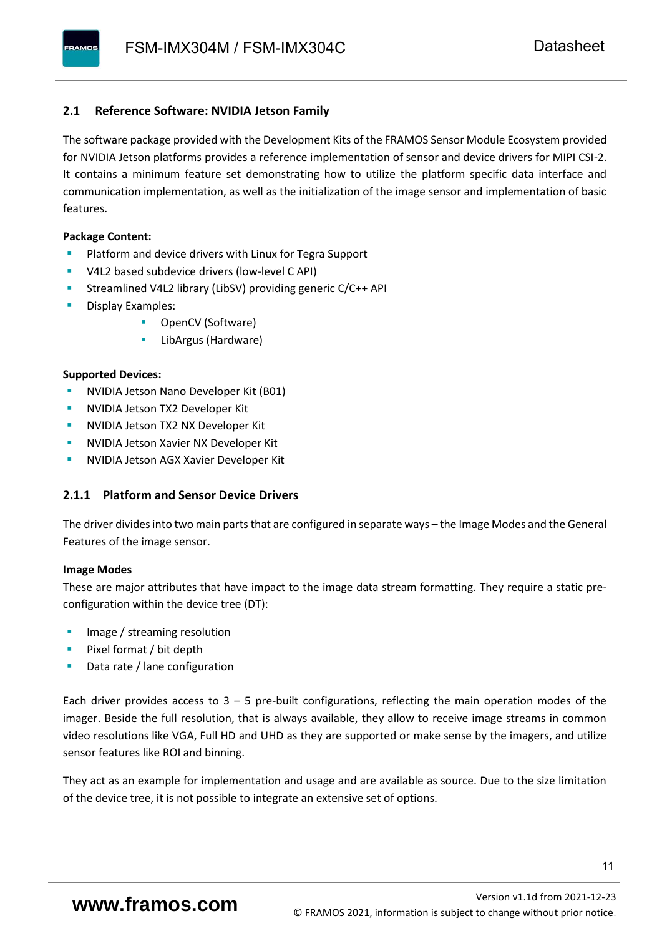#### <span id="page-12-0"></span>**2.1 Reference Software: NVIDIA Jetson Family**

The software package provided with the Development Kits of the FRAMOS Sensor Module Ecosystem provided for NVIDIA Jetson platforms provides a reference implementation of sensor and device drivers for MIPI CSI-2. It contains a minimum feature set demonstrating how to utilize the platform specific data interface and communication implementation, as well as the initialization of the image sensor and implementation of basic features.

#### **Package Content:**

- Platform and device drivers with Linux for Tegra Support
- V4L2 based subdevice drivers (low-level C API)
- Streamlined V4L2 library (LibSV) providing generic C/C++ API
- Display Examples:
	- OpenCV (Software)
	- LibArgus (Hardware)

#### **Supported Devices:**

- NVIDIA Jetson Nano Developer Kit (B01)
- **NVIDIA Jetson TX2 Developer Kit**
- NVIDIA Jetson TX2 NX Developer Kit
- **NVIDIA Jetson Xavier NX Developer Kit**
- **NVIDIA Jetson AGX Xavier Developer Kit**

#### <span id="page-12-1"></span>**2.1.1 Platform and Sensor Device Drivers**

The driver divides into two main parts that are configured in separate ways – the Image Modes and the General Features of the image sensor.

#### **Image Modes**

These are major attributes that have impact to the image data stream formatting. They require a static preconfiguration within the device tree (DT):

- Image / streaming resolution
- Pixel format / bit depth
- Data rate / lane configuration

Each driver provides access to  $3 - 5$  pre-built configurations, reflecting the main operation modes of the imager. Beside the full resolution, that is always available, they allow to receive image streams in common video resolutions like VGA, Full HD and UHD as they are supported or make sense by the imagers, and utilize sensor features like ROI and binning.

They act as an example for implementation and usage and are available as source. Due to the size limitation of the device tree, it is not possible to integrate an extensive set of options.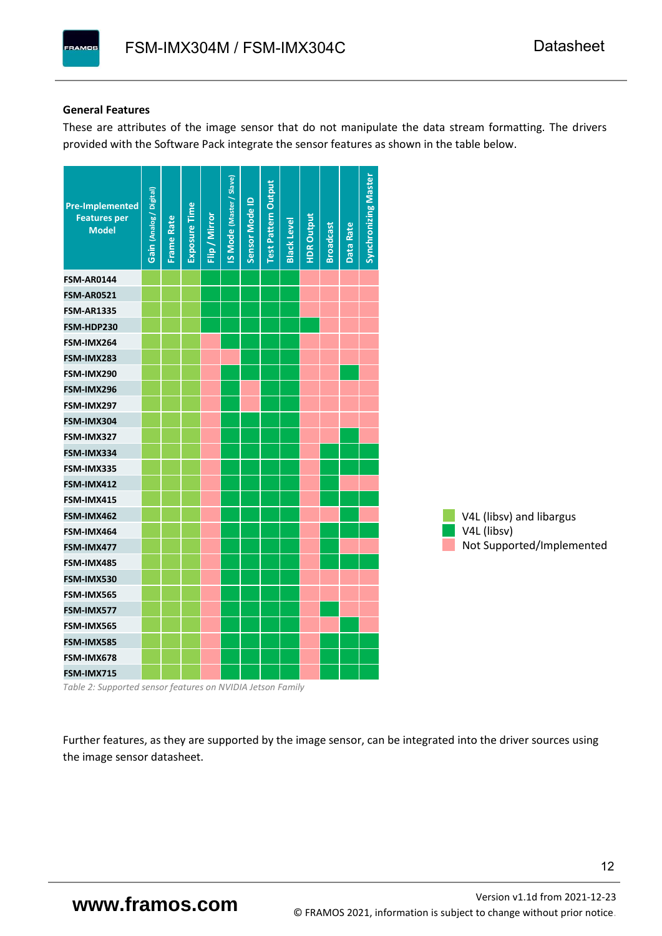#### **General Features**

These are attributes of the image sensor that do not manipulate the data stream formatting. The drivers provided with the Software Pack integrate the sensor features as shown in the table below.

| <b>Pre-Implemented</b><br><b>Features per</b><br><b>Model</b> | Gain (Analog / Digital) | <b>Frame Rate</b> | Exposure Time | Flip / Mirror | <b>IS Mode (Master / Slave)</b> | Sensor Mode ID | <b>Test Pattern Output</b> | <b>Black Level</b> | <b>HDR Output</b> | <b>Broadcast</b> | Data Rate | <b>Synchronizing Master</b> |                           |
|---------------------------------------------------------------|-------------------------|-------------------|---------------|---------------|---------------------------------|----------------|----------------------------|--------------------|-------------------|------------------|-----------|-----------------------------|---------------------------|
| <b>FSM-AR0144</b>                                             |                         |                   |               |               |                                 |                |                            |                    |                   |                  |           |                             |                           |
| <b>FSM-AR0521</b>                                             |                         |                   |               |               |                                 |                |                            |                    |                   |                  |           |                             |                           |
| <b>FSM-AR1335</b>                                             |                         |                   |               |               |                                 |                |                            |                    |                   |                  |           |                             |                           |
| FSM-HDP230                                                    |                         |                   |               |               |                                 |                |                            |                    |                   |                  |           |                             |                           |
| FSM-IMX264                                                    |                         |                   |               |               |                                 |                |                            |                    |                   |                  |           |                             |                           |
| FSM-IMX283                                                    |                         |                   |               |               |                                 |                |                            |                    |                   |                  |           |                             |                           |
| FSM-IMX290                                                    |                         |                   |               |               |                                 |                |                            |                    |                   |                  |           |                             |                           |
| FSM-IMX296                                                    |                         |                   |               |               |                                 |                |                            |                    |                   |                  |           |                             |                           |
| FSM-IMX297                                                    |                         |                   |               |               |                                 |                |                            |                    |                   |                  |           |                             |                           |
| FSM-IMX304                                                    |                         |                   |               |               |                                 |                |                            |                    |                   |                  |           |                             |                           |
| FSM-IMX327                                                    |                         |                   |               |               |                                 |                |                            |                    |                   |                  |           |                             |                           |
| FSM-IMX334                                                    |                         |                   |               |               |                                 |                |                            |                    |                   |                  |           |                             |                           |
| FSM-IMX335                                                    |                         |                   |               |               |                                 |                |                            |                    |                   |                  |           |                             |                           |
| FSM-IMX412                                                    |                         |                   |               |               |                                 |                |                            |                    |                   |                  |           |                             |                           |
| FSM-IMX415                                                    |                         |                   |               |               |                                 |                |                            |                    |                   |                  |           |                             |                           |
| FSM-IMX462                                                    |                         |                   |               |               |                                 |                |                            |                    |                   |                  |           |                             | V4L (libsv) and libargus  |
| FSM-IMX464                                                    |                         |                   |               |               |                                 |                |                            |                    |                   |                  |           |                             | V4L (libsv)               |
| FSM-IMX477                                                    |                         |                   |               |               |                                 |                |                            |                    |                   |                  |           |                             | Not Supported/Implemented |
| FSM-IMX485                                                    |                         |                   |               |               |                                 |                |                            |                    |                   |                  |           |                             |                           |
| FSM-IMX530                                                    |                         |                   |               |               |                                 |                |                            |                    |                   |                  |           |                             |                           |
| FSM-IMX565                                                    |                         |                   |               |               |                                 |                |                            |                    |                   |                  |           |                             |                           |
| FSM-IMX577                                                    |                         |                   |               |               |                                 |                |                            |                    |                   |                  |           |                             |                           |
| FSM-IMX565                                                    |                         |                   |               |               |                                 |                |                            |                    |                   |                  |           |                             |                           |
| FSM-IMX585                                                    |                         |                   |               |               |                                 |                |                            |                    |                   |                  |           |                             |                           |
| FSM-IMX678                                                    |                         |                   |               |               |                                 |                |                            |                    |                   |                  |           |                             |                           |
| FSM-IMX715                                                    |                         |                   |               |               |                                 |                |                            |                    |                   |                  |           |                             |                           |

*Table 2: Supported sensor features on NVIDIA Jetson Family*

Further features, as they are supported by the image sensor, can be integrated into the driver sources using the image sensor datasheet.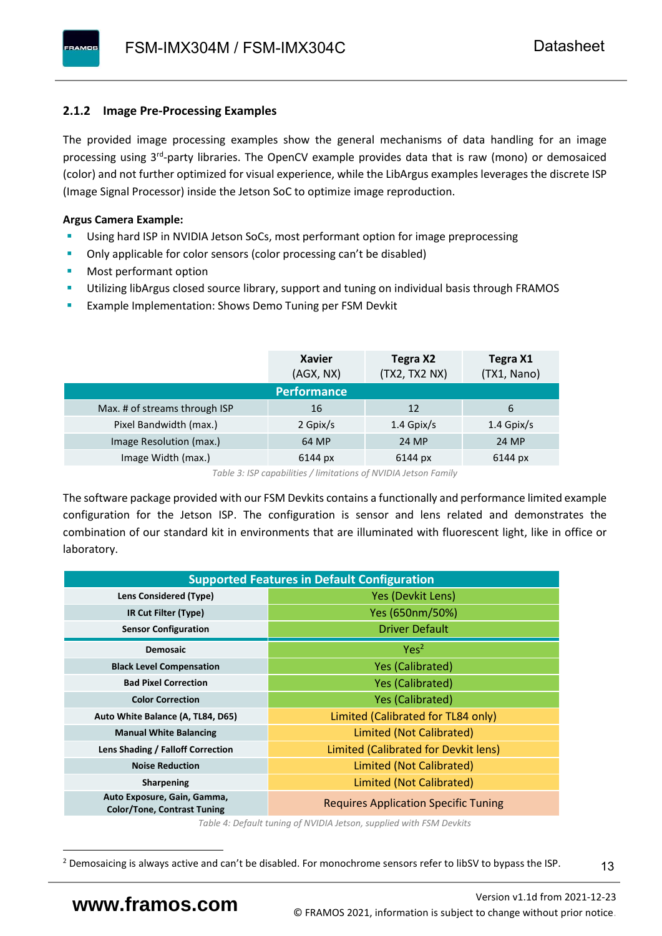#### <span id="page-14-0"></span>**2.1.2 Image Pre-Processing Examples**

The provided image processing examples show the general mechanisms of data handling for an image processing using 3<sup>rd</sup>-party libraries. The OpenCV example provides data that is raw (mono) or demosaiced (color) and not further optimized for visual experience, while the LibArgus examples leverages the discrete ISP (Image Signal Processor) inside the Jetson SoC to optimize image reproduction.

#### **Argus Camera Example:**

- Using hard ISP in NVIDIA Jetson SoCs, most performant option for image preprocessing
- Only applicable for color sensors (color processing can't be disabled)
- Most performant option
- Utilizing libArgus closed source library, support and tuning on individual basis through FRAMOS
- Example Implementation: Shows Demo Tuning per FSM Devkit

|                               | <b>Xavier</b><br>(AGX, NX) | Tegra X2<br>(TX2, TX2 NX) | Tegra X1<br>(TX1, Nano) |
|-------------------------------|----------------------------|---------------------------|-------------------------|
|                               | <b>Performance</b>         |                           |                         |
| Max. # of streams through ISP | 16                         | 12                        | 6                       |
| Pixel Bandwidth (max.)        | 2 Gpix/s                   | $1.4$ Gpix/s              | $1.4$ Gpix/s            |
| Image Resolution (max.)       | 64 MP                      | 24 MP                     | 24 MP                   |
| Image Width (max.)            | 6144 px                    | 6144 px                   | 6144 px                 |

*Table 3: ISP capabilities / limitations of NVIDIA Jetson Family*

The software package provided with our FSM Devkits contains a functionally and performance limited example configuration for the Jetson ISP. The configuration is sensor and lens related and demonstrates the combination of our standard kit in environments that are illuminated with fluorescent light, like in office or laboratory.

|                                                                   | <b>Supported Features in Default Configuration</b> |  |  |  |  |
|-------------------------------------------------------------------|----------------------------------------------------|--|--|--|--|
| Lens Considered (Type)                                            | Yes (Devkit Lens)                                  |  |  |  |  |
| IR Cut Filter (Type)                                              | Yes (650nm/50%)                                    |  |  |  |  |
| <b>Sensor Configuration</b>                                       | <b>Driver Default</b>                              |  |  |  |  |
| <b>Demosaic</b>                                                   | Yes <sup>2</sup>                                   |  |  |  |  |
| <b>Black Level Compensation</b>                                   | <b>Yes (Calibrated)</b>                            |  |  |  |  |
| <b>Bad Pixel Correction</b>                                       | <b>Yes (Calibrated)</b>                            |  |  |  |  |
| <b>Color Correction</b>                                           | <b>Yes (Calibrated)</b>                            |  |  |  |  |
| Auto White Balance (A, TL84, D65)                                 | Limited (Calibrated for TL84 only)                 |  |  |  |  |
| <b>Manual White Balancing</b>                                     | Limited (Not Calibrated)                           |  |  |  |  |
| Lens Shading / Falloff Correction                                 | Limited (Calibrated for Devkit lens)               |  |  |  |  |
| <b>Noise Reduction</b>                                            | Limited (Not Calibrated)                           |  |  |  |  |
| <b>Sharpening</b>                                                 | Limited (Not Calibrated)                           |  |  |  |  |
| Auto Exposure, Gain, Gamma,<br><b>Color/Tone, Contrast Tuning</b> | <b>Requires Application Specific Tuning</b>        |  |  |  |  |

*Table 4: Default tuning of NVIDIA Jetson, supplied with FSM Devkits*

13

<sup>&</sup>lt;sup>2</sup> Demosaicing is always active and can't be disabled. For monochrome sensors refer to libSV to bypass the ISP.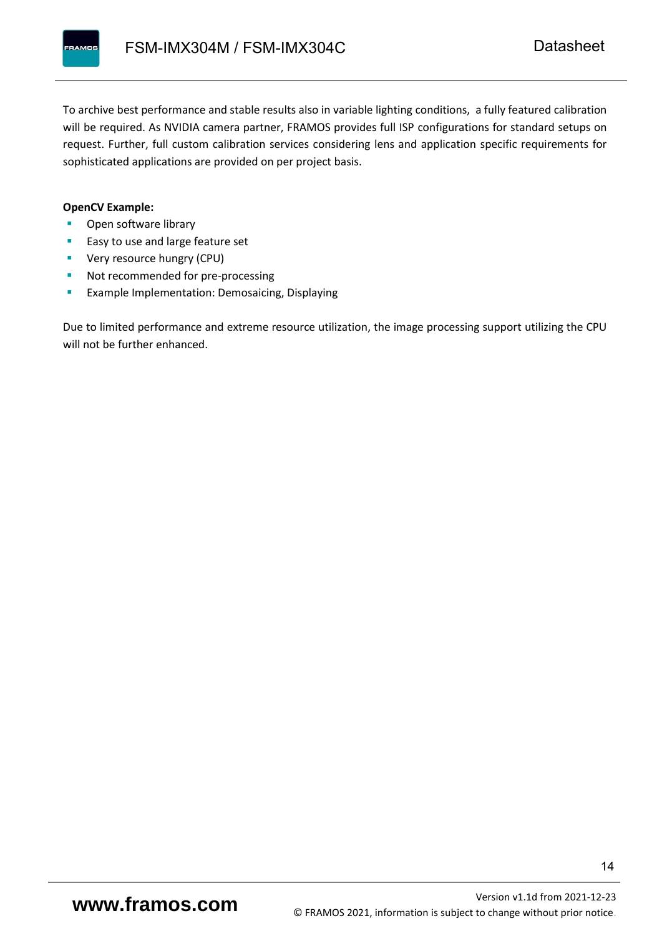To archive best performance and stable results also in variable lighting conditions, a fully featured calibration will be required. As NVIDIA camera partner, FRAMOS provides full ISP configurations for standard setups on request. Further, full custom calibration services considering lens and application specific requirements for sophisticated applications are provided on per project basis.

#### **OpenCV Example:**

- Open software library
- Easy to use and large feature set
- **•** Very resource hungry (CPU)
- Not recommended for pre-processing
- **Example Implementation: Demosaicing, Displaying**

Due to limited performance and extreme resource utilization, the image processing support utilizing the CPU will not be further enhanced.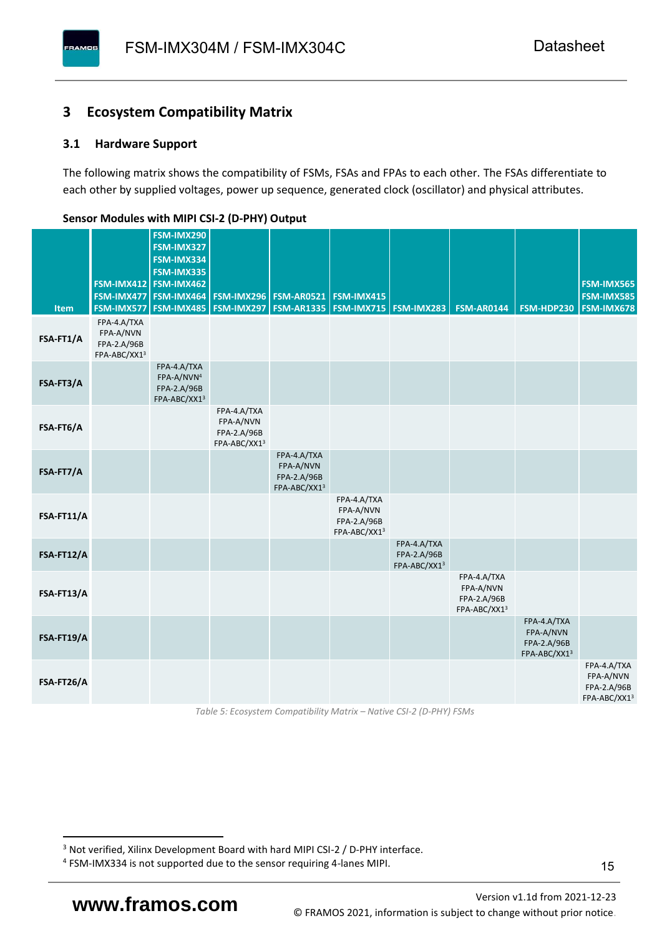### <span id="page-16-0"></span>**3 Ecosystem Compatibility Matrix**

#### <span id="page-16-1"></span>**3.1 Hardware Support**

**PAMOS** 

The following matrix shows the compatibility of FSMs, FSAs and FPAs to each other. The FSAs differentiate to each other by supplied voltages, power up sequence, generated clock (oscillator) and physical attributes.

|            |                                                         | FSM-IMX290<br>FSM-IMX327                                             |                                                         |                                                                  |                                                         |                                            |                                                         |                                                         |                                                         |
|------------|---------------------------------------------------------|----------------------------------------------------------------------|---------------------------------------------------------|------------------------------------------------------------------|---------------------------------------------------------|--------------------------------------------|---------------------------------------------------------|---------------------------------------------------------|---------------------------------------------------------|
|            |                                                         | FSM-IMX334<br>FSM-IMX335                                             |                                                         |                                                                  |                                                         |                                            |                                                         |                                                         |                                                         |
|            |                                                         | FSM-IMX412 FSM-IMX462                                                |                                                         |                                                                  |                                                         |                                            |                                                         |                                                         | <b>FSM-IMX565</b>                                       |
| Item       | FSM-IMX577                                              | FSM-IMX477 FSM-IMX464<br>FSM-IMX485                                  |                                                         | <b>FSM-IMX296 FSM-AR0521</b><br><b>FSM-IMX297   FSM-AR1335  </b> | <b>FSM-IMX415</b><br><b>FSM-IMX715   FSM-IMX283</b>     |                                            | <b>FSM-AR0144</b>                                       | FSM-HDP230                                              | <b>FSM-IMX585</b><br><b>FSM-IMX678</b>                  |
| FSA-FT1/A  | FPA-4.A/TXA<br>FPA-A/NVN<br>FPA-2.A/96B<br>FPA-ABC/XX13 |                                                                      |                                                         |                                                                  |                                                         |                                            |                                                         |                                                         |                                                         |
| FSA-FT3/A  |                                                         | FPA-4.A/TXA<br>FPA-A/NVN <sup>4</sup><br>FPA-2.A/96B<br>FPA-ABC/XX13 |                                                         |                                                                  |                                                         |                                            |                                                         |                                                         |                                                         |
| FSA-FT6/A  |                                                         |                                                                      | FPA-4.A/TXA<br>FPA-A/NVN<br>FPA-2.A/96B<br>FPA-ABC/XX13 |                                                                  |                                                         |                                            |                                                         |                                                         |                                                         |
| FSA-FT7/A  |                                                         |                                                                      |                                                         | FPA-4.A/TXA<br>FPA-A/NVN<br>FPA-2.A/96B<br>FPA-ABC/XX13          |                                                         |                                            |                                                         |                                                         |                                                         |
| FSA-FT11/A |                                                         |                                                                      |                                                         |                                                                  | FPA-4.A/TXA<br>FPA-A/NVN<br>FPA-2.A/96B<br>FPA-ABC/XX13 |                                            |                                                         |                                                         |                                                         |
| FSA-FT12/A |                                                         |                                                                      |                                                         |                                                                  |                                                         | FPA-4.A/TXA<br>FPA-2.A/96B<br>FPA-ABC/XX13 |                                                         |                                                         |                                                         |
| FSA-FT13/A |                                                         |                                                                      |                                                         |                                                                  |                                                         |                                            | FPA-4.A/TXA<br>FPA-A/NVN<br>FPA-2.A/96B<br>FPA-ABC/XX13 |                                                         |                                                         |
| FSA-FT19/A |                                                         |                                                                      |                                                         |                                                                  |                                                         |                                            |                                                         | FPA-4.A/TXA<br>FPA-A/NVN<br>FPA-2.A/96B<br>FPA-ABC/XX13 |                                                         |
| FSA-FT26/A |                                                         |                                                                      |                                                         |                                                                  |                                                         |                                            |                                                         |                                                         | FPA-4.A/TXA<br>FPA-A/NVN<br>FPA-2.A/96B<br>FPA-ABC/XX13 |

#### <span id="page-16-2"></span>**Sensor Modules with MIPI CSI-2 (D-PHY) Output**

*Table 5: Ecosystem Compatibility Matrix – Native CSI-2 (D-PHY) FSMs*

<sup>&</sup>lt;sup>3</sup> Not verified, Xilinx Development Board with hard MIPI CSI-2 / D-PHY interface.

<sup>4</sup> FSM-IMX334 is not supported due to the sensor requiring 4-lanes MIPI.